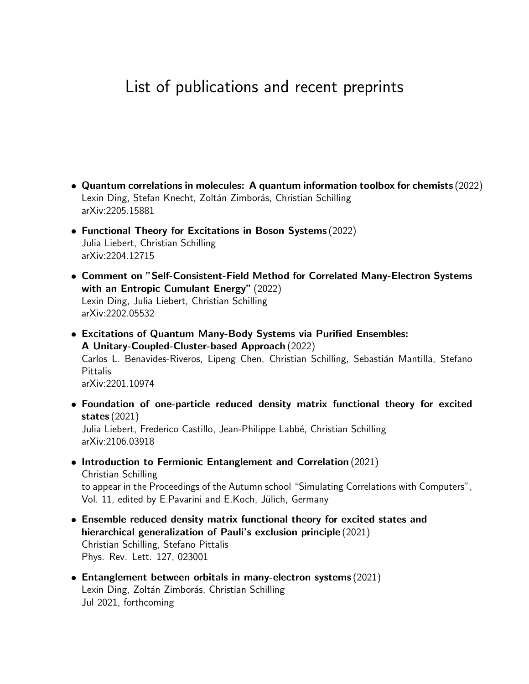## List of publications and recent preprints

- Quantum correlations in molecules: A quantum information toolbox for chemists (2022) Lexin Ding, Stefan Knecht, Zoltán Zimborás, Christian Schilling arXiv:2205.15881
- Functional Theory for Excitations in Boson Systems (2022) Julia Liebert, Christian Schilling arXiv:2204.12715
- Comment on "Self-Consistent-Field Method for Correlated Many-Electron Systems with an Entropic Cumulant Energy" (2022) Lexin Ding, Julia Liebert, Christian Schilling arXiv:2202.05532
- Excitations of Quantum Many-Body Systems via Purified Ensembles: A Unitary-Coupled-Cluster-based Approach (2022) Carlos L. Benavides-Riveros, Lipeng Chen, Christian Schilling, Sebastián Mantilla, Stefano Pittalis arXiv:2201.10974
- Foundation of one-particle reduced density matrix functional theory for excited states (2021)

Julia Liebert, Frederico Castillo, Jean-Philippe Labbé, Christian Schilling arXiv:2106.03918

- Introduction to Fermionic Entanglement and Correlation (2021) Christian Schilling to appear in the Proceedings of the Autumn school "Simulating Correlations with Computers", Vol. 11, edited by E.Pavarini and E.Koch, Jülich, Germany
- Ensemble reduced density matrix functional theory for excited states and hierarchical generalization of Pauli's exclusion principle (2021) Christian Schilling, Stefano Pittalis Phys. Rev. Lett. 127, 023001
- Entanglement between orbitals in many-electron systems (2021) Lexin Ding, Zoltán Zimborás, Christian Schilling Jul 2021, forthcoming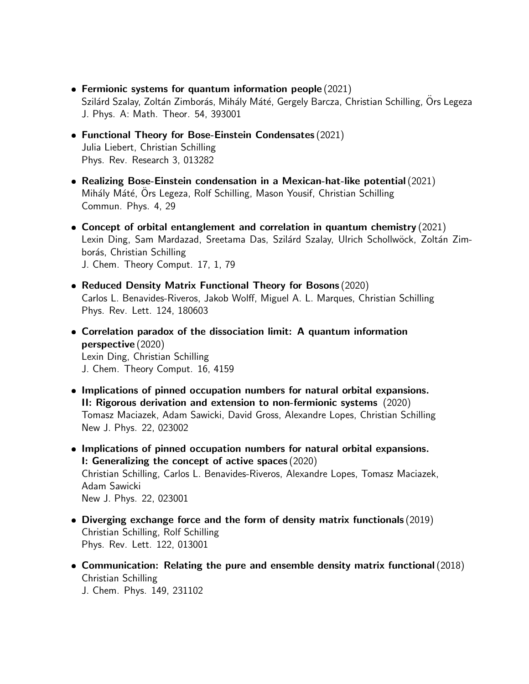- Fermionic systems for quantum information people (2021) Szilárd Szalay, Zoltán Zimborás, Mihály Máté, Gergely Barcza, Christian Schilling, Ors Legeza J. Phys. A: Math. Theor. 54, 393001
- Functional Theory for Bose-Einstein Condensates (2021) Julia Liebert, Christian Schilling Phys. Rev. Research 3, 013282
- Realizing Bose-Einstein condensation in a Mexican-hat-like potential(2021) Mihály Máté, Ors Legeza, Rolf Schilling, Mason Yousif, Christian Schilling Commun. Phys. 4, 29
- Concept of orbital entanglement and correlation in quantum chemistry (2021) Lexin Ding, Sam Mardazad, Sreetama Das, Szilárd Szalay, Ulrich Schollwöck, Zoltán Zimborás, Christian Schilling J. Chem. Theory Comput. 17, 1, 79
- Reduced Density Matrix Functional Theory for Bosons (2020) Carlos L. Benavides-Riveros, Jakob Wolff, Miguel A. L. Marques, Christian Schilling Phys. Rev. Lett. 124, 180603
- Correlation paradox of the dissociation limit: A quantum information perspective (2020) Lexin Ding, Christian Schilling J. Chem. Theory Comput. 16, 4159
- Implications of pinned occupation numbers for natural orbital expansions. II: Rigorous derivation and extension to non-fermionic systems (2020) Tomasz Maciazek, Adam Sawicki, David Gross, Alexandre Lopes, Christian Schilling New J. Phys. 22, 023002
- Implications of pinned occupation numbers for natural orbital expansions. I: Generalizing the concept of active spaces (2020) Christian Schilling, Carlos L. Benavides-Riveros, Alexandre Lopes, Tomasz Maciazek, Adam Sawicki New J. Phys. 22, 023001
- Diverging exchange force and the form of density matrix functionals (2019) Christian Schilling, Rolf Schilling Phys. Rev. Lett. 122, 013001
- Communication: Relating the pure and ensemble density matrix functional(2018) Christian Schilling

J. Chem. Phys. 149, 231102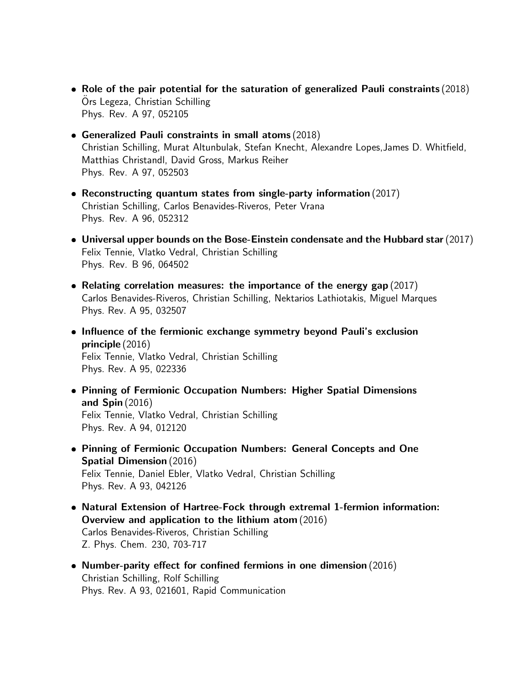- Role of the pair potential for the saturation of generalized Pauli constraints (2018) Ors Legeza, Christian Schilling Phys. Rev. A 97, 052105
- **Generalized Pauli constraints in small atoms (2018)** Christian Schilling, Murat Altunbulak, Stefan Knecht, Alexandre Lopes,James D. Whitfield, Matthias Christandl, David Gross, Markus Reiher Phys. Rev. A 97, 052503
- Reconstructing quantum states from single-party information (2017) Christian Schilling, Carlos Benavides-Riveros, Peter Vrana Phys. Rev. A 96, 052312
- $\bullet$  Universal upper bounds on the Bose-Einstein condensate and the Hubbard star (2017) Felix Tennie, Vlatko Vedral, Christian Schilling Phys. Rev. B 96, 064502
- Relating correlation measures: the importance of the energy gap (2017) Carlos Benavides-Riveros, Christian Schilling, Nektarios Lathiotakis, Miguel Marques Phys. Rev. A 95, 032507
- Influence of the fermionic exchange symmetry beyond Pauli's exclusion principle (2016) Felix Tennie, Vlatko Vedral, Christian Schilling Phys. Rev. A 95, 022336
- Pinning of Fermionic Occupation Numbers: Higher Spatial Dimensions and Spin (2016) Felix Tennie, Vlatko Vedral, Christian Schilling Phys. Rev. A 94, 012120
- Pinning of Fermionic Occupation Numbers: General Concepts and One Spatial Dimension (2016) Felix Tennie, Daniel Ebler, Vlatko Vedral, Christian Schilling Phys. Rev. A 93, 042126
- Natural Extension of Hartree-Fock through extremal 1-fermion information: Overview and application to the lithium atom (2016) Carlos Benavides-Riveros, Christian Schilling Z. Phys. Chem. 230, 703-717
- Number-parity effect for confined fermions in one dimension (2016) Christian Schilling, Rolf Schilling Phys. Rev. A 93, 021601, Rapid Communication